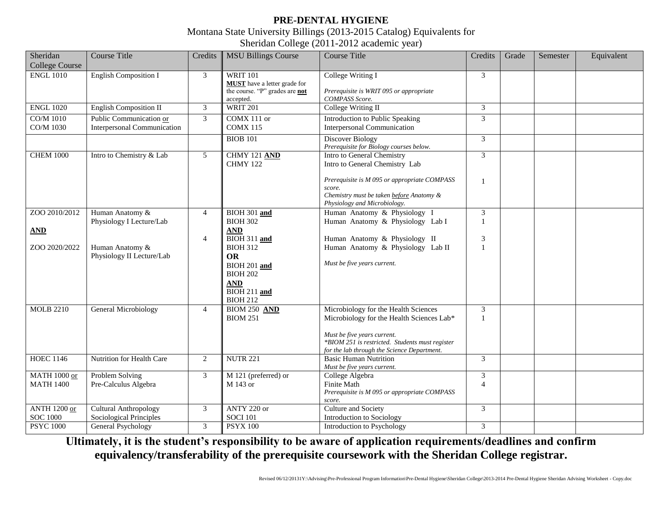## **PRE-DENTAL HYGIENE** Montana State University Billings (2013-2015 Catalog) Equivalents for Sheridan College (2011-2012 academic year)

| Sheridan<br><b>College Course</b>       | <b>Course Title</b>                                           | Credits        | <b>MSU Billings Course</b>                                                                                                                     | <b>Course Title</b>                                                                                                                                                                                                | Credits                        | Grade | Semester | Equivalent |
|-----------------------------------------|---------------------------------------------------------------|----------------|------------------------------------------------------------------------------------------------------------------------------------------------|--------------------------------------------------------------------------------------------------------------------------------------------------------------------------------------------------------------------|--------------------------------|-------|----------|------------|
| <b>ENGL 1010</b>                        | <b>English Composition I</b>                                  | 3              | <b>WRIT 101</b><br><b>MUST</b> have a letter grade for<br>the course. "P" grades are not<br>accepted.                                          | College Writing I<br>Prerequisite is WRIT 095 or appropriate<br><b>COMPASS</b> Score.                                                                                                                              | 3                              |       |          |            |
| <b>ENGL 1020</b>                        | English Composition II                                        | 3              | <b>WRIT 201</b>                                                                                                                                | College Writing II                                                                                                                                                                                                 | 3                              |       |          |            |
| <b>CO/M 1010</b><br>CO/M 1030           | Public Communication or<br><b>Interpersonal Communication</b> | 3              | COMX 111 or<br><b>COMX 115</b>                                                                                                                 | Introduction to Public Speaking<br><b>Interpersonal Communication</b>                                                                                                                                              | 3                              |       |          |            |
|                                         |                                                               |                | <b>BIOB 101</b>                                                                                                                                | <b>Discover Biology</b><br>Prerequisite for Biology courses below.                                                                                                                                                 | 3                              |       |          |            |
| <b>CHEM 1000</b>                        | Intro to Chemistry & Lab                                      | 5              | <b>CHMY 121 AND</b><br>CHMY 122                                                                                                                | Intro to General Chemistry<br>Intro to General Chemistry Lab                                                                                                                                                       | 3                              |       |          |            |
|                                         |                                                               |                |                                                                                                                                                | Prerequisite is M 095 or appropriate COMPASS<br>score.<br>Chemistry must be taken before Anatomy &<br>Physiology and Microbiology.                                                                                 | $\mathbf{1}$                   |       |          |            |
| ZOO 2010/2012                           | Human Anatomy &<br>Physiology I Lecture/Lab                   | $\overline{4}$ | BIOH 301 and<br><b>BIOH 302</b>                                                                                                                | Human Anatomy & Physiology I<br>Human Anatomy & Physiology Lab I                                                                                                                                                   | $\mathfrak{Z}$<br>$\mathbf{1}$ |       |          |            |
| AND<br>ZOO 2020/2022                    | Human Anatomy &<br>Physiology II Lecture/Lab                  | $\overline{4}$ | <b>AND</b><br>BIOH 311 and<br><b>BIOH 312</b><br><b>OR</b><br>BIOH 201 and<br><b>BIOH 202</b><br><b>AND</b><br>BIOH 211 and<br><b>BIOH 212</b> | Human Anatomy & Physiology II<br>Human Anatomy & Physiology Lab II<br>Must be five years current.                                                                                                                  | 3<br>$\mathbf{1}$              |       |          |            |
| <b>MOLB 2210</b>                        | <b>General Microbiology</b>                                   | $\overline{4}$ | <b>BIOM 250 AND</b><br><b>BIOM 251</b>                                                                                                         | Microbiology for the Health Sciences<br>Microbiology for the Health Sciences Lab*<br>Must be five years current.<br>*BIOM 251 is restricted. Students must register<br>for the lab through the Science Department. | $\overline{3}$<br>$\mathbf{1}$ |       |          |            |
| <b>HOEC 1146</b>                        | Nutrition for Health Care                                     | 2              | <b>NUTR 221</b>                                                                                                                                | <b>Basic Human Nutrition</b><br>Must be five years current.                                                                                                                                                        | 3                              |       |          |            |
| <b>MATH 1000 or</b><br><b>MATH 1400</b> | Problem Solving<br>Pre-Calculus Algebra                       | 3              | M 121 (preferred) or<br>M 143 or                                                                                                               | College Algebra<br>Finite Math<br>Prerequisite is M 095 or appropriate COMPASS<br>score.                                                                                                                           | 3<br>$\overline{4}$            |       |          |            |
| ANTH 1200 or<br><b>SOC 1000</b>         | <b>Cultural Anthropology</b><br>Sociological Principles       | $\mathfrak{Z}$ | ANTY 220 or<br><b>SOCI 101</b>                                                                                                                 | <b>Culture and Society</b><br>Introduction to Sociology                                                                                                                                                            | 3                              |       |          |            |
| <b>PSYC 1000</b>                        | General Psychology                                            | 3              | <b>PSYX 100</b>                                                                                                                                | Introduction to Psychology                                                                                                                                                                                         | 3                              |       |          |            |

**Ultimately, it is the student's responsibility to be aware of application requirements/deadlines and confirm equivalency/transferability of the prerequisite coursework with the Sheridan College registrar.**